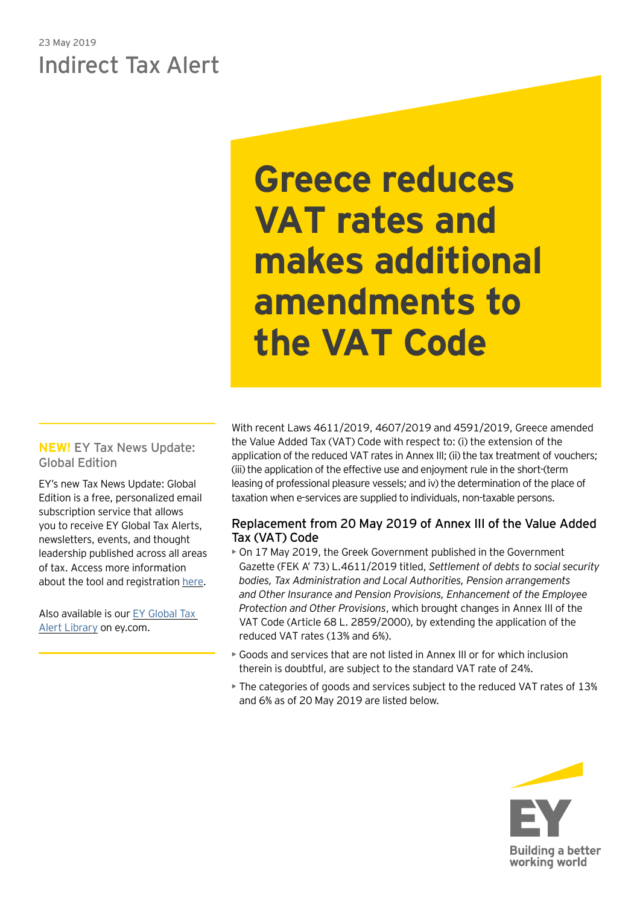# 23 May 2019 Indirect Tax Alert

**Greece reduces VAT rates and makes additional amendments to the VAT Code** 

# **NEW!** EY Tax News Update: Global Edition

EY's new Tax News Update: Global Edition is a free, personalized email subscription service that allows you to receive EY Global Tax Alerts, newsletters, events, and thought leadership published across all areas of tax. Access more information about the tool and registration [here.](https://www.ey.com/gl/en/services/tax/sign-up-for-ey-tax-news-update-global-edition)

Also available is our [EY Global Tax](http://www.ey.com/gl/en/services/tax/international-tax/tax-alert-library)  [Alert Library](http://www.ey.com/gl/en/services/tax/international-tax/tax-alert-library) on ey.com.

With recent Laws 4611/2019, 4607/2019 and 4591/2019, Greece amended the Value Added Tax (VAT) Code with respect to: (i) the extension of the application of the reduced VAT rates in Annex III; (ii) the tax treatment of vouchers; (iii) the application of the effective use and enjoyment rule in the short-(term leasing of professional pleasure vessels; and iv) the determination of the place of taxation when e-services are supplied to individuals, non-taxable persons.

# Replacement from 20 May 2019 of Annex III of the Value Added Tax (VAT) Code

- On 17 May 2019, the Greek Government published in the Government Gazette (FEK Α' 73) L.4611/2019 titled, *Settlement of debts to social security bodies, Tax Administration and Local Authorities, Pension arrangements and Other Insurance and Pension Provisions, Enhancement of the Employee Protection and Other Provisions*, which brought changes in Annex III of the VAT Code (Article 68 L. 2859/2000), by extending the application of the reduced VAT rates (13% and 6%).
- Goods and services that are not listed in Annex III or for which inclusion therein is doubtful, are subject to the standard VAT rate of 24%.
- The categories of goods and services subject to the reduced VAT rates of 13% and 6% as of 20 May 2019 are listed below.

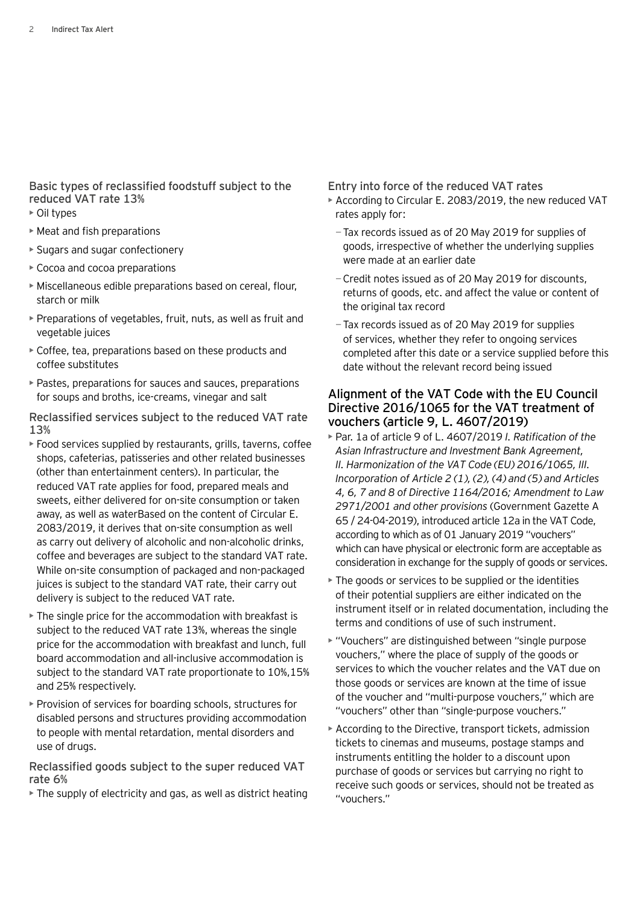Basic types of reclassified foodstuff subject to the reduced VAT rate 13%

- Oil types
- Meat and fish preparations
- Sugars and sugar confectionery
- Cocoa and cocoa preparations
- Miscellaneous edible preparations based on cereal, flour, starch or milk
- Preparations of vegetables, fruit, nuts, as well as fruit and vegetable juices
- Coffee, tea, preparations based on these products and coffee substitutes
- Pastes, preparations for sauces and sauces, preparations for soups and broths, ice-creams, vinegar and salt

Reclassified services subject to the reduced VAT rate 13%

- Food services supplied by restaurants, grills, taverns, coffee shops, cafeterias, patisseries and other related businesses (other than entertainment centers). In particular, the reduced VAT rate applies for food, prepared meals and sweets, either delivered for on-site consumption or taken away, as well as waterBased on the content of Circular E. 2083/2019, it derives that on-site consumption as well as carry out delivery of alcoholic and non-alcoholic drinks, coffee and beverages are subject to the standard VAT rate. While on-site consumption of packaged and non-packaged juices is subject to the standard VAT rate, their carry out delivery is subject to the reduced VAT rate.
- The single price for the accommodation with breakfast is subject to the reduced VAT rate 13%, whereas the single price for the accommodation with breakfast and lunch, full board accommodation and all-inclusive accommodation is subject to the standard VAT rate proportionate to 10%,15% and 25% respectively.
- Provision of services for boarding schools, structures for disabled persons and structures providing accommodation to people with mental retardation, mental disorders and use of drugs.

#### Reclassified goods subject to the super reduced VAT rate 6%

• The supply of electricity and gas, as well as district heating

Entry into force of the reduced VAT rates

- According to Circular E. 2083/2019, the new reduced VAT rates apply for:
	- −Tax records issued as of 20 May 2019 for supplies of goods, irrespective of whether the underlying supplies were made at an earlier date
	- −Credit notes issued as of 20 May 2019 for discounts, returns of goods, etc. and affect the value or content of the original tax record
	- −Tax records issued as of 20 May 2019 for supplies of services, whether they refer to ongoing services completed after this date or a service supplied before this date without the relevant record being issued

## Alignment of the VAT Code with the EU Council Directive 2016/1065 for the VAT treatment of vouchers (article 9, L. 4607/2019)

- Par. 1a of article 9 of L. 4607/2019 *I. Ratification of the Asian Infrastructure and Investment Bank Agreement, II. Harmonization of the VAT Code (EU) 2016/1065, III. Incorporation of Article 2 (1), (2), (4) and (5) and Articles 4, 6, 7 and 8 of Directive 1164/2016; Amendment to Law 2971/2001 and other provisions* (Government Gazette A 65 / 24-04-2019), introduced article 12a in the VAT Code, according to which as of 01 January 2019 "vouchers" which can have physical or electronic form are acceptable as consideration in exchange for the supply of goods or services.
- The goods or services to be supplied or the identities of their potential suppliers are either indicated on the instrument itself or in related documentation, including the terms and conditions of use of such instrument.
- "Vouchers" are distinguished between "single purpose vouchers," where the place of supply of the goods or services to which the voucher relates and the VAT due on those goods or services are known at the time of issue of the voucher and "multi-purpose vouchers," which are "vouchers" other than "single-purpose vouchers."
- According to the Directive, transport tickets, admission tickets to cinemas and museums, postage stamps and instruments entitling the holder to a discount upon purchase of goods or services but carrying no right to receive such goods or services, should not be treated as "vouchers."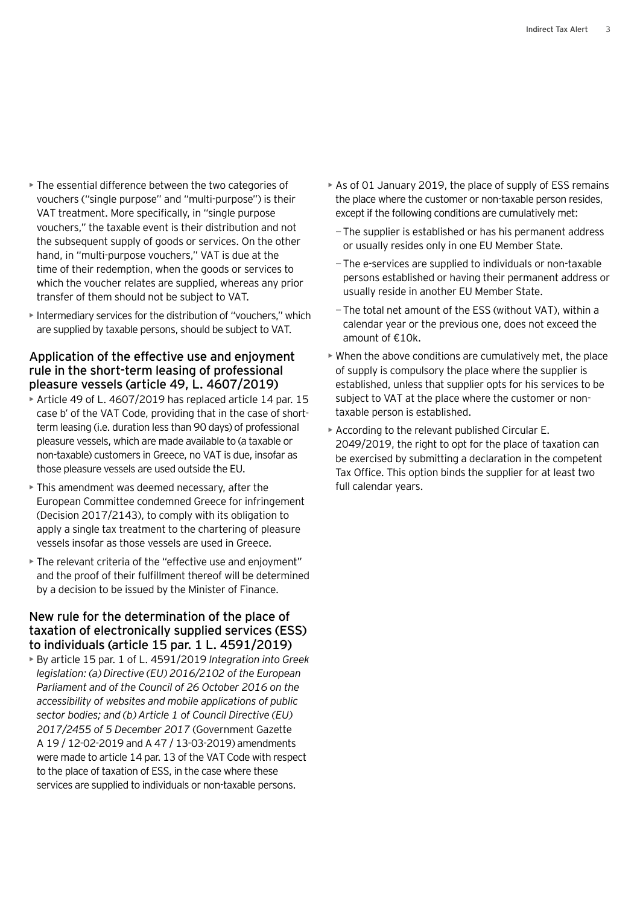- The essential difference between the two categories of vouchers ("single purpose" and "multi-purpose") is their VAT treatment. More specifically, in "single purpose vouchers," the taxable event is their distribution and not the subsequent supply of goods or services. On the other hand, in "multi-purpose vouchers," VAT is due at the time of their redemption, when the goods or services to which the voucher relates are supplied, whereas any prior transfer of them should not be subject to VAT.
- Intermediary services for the distribution of "vouchers," which are supplied by taxable persons, should be subject to VAT.

### Application of the effective use and enjoyment rule in the short-term leasing of professional pleasure vessels (article 49, L. 4607/2019)

- Article 49 of L. 4607/2019 has replaced article 14 par. 15 case b' of the VAT Code, providing that in the case of shortterm leasing (i.e. duration less than 90 days) of professional pleasure vessels, which are made available to (a taxable or non-taxable) customers in Greece, no VAT is due, insofar as those pleasure vessels are used outside the EU.
- This amendment was deemed necessary, after the European Committee condemned Greece for infringement (Decision 2017/2143), to comply with its obligation to apply a single tax treatment to the chartering of pleasure vessels insofar as those vessels are used in Greece.
- The relevant criteria of the "effective use and enjoyment" and the proof of their fulfillment thereof will be determined by a decision to be issued by the Minister of Finance.

## New rule for the determination of the place of taxation of electronically supplied services (ESS) to individuals (article 15 par. 1 L. 4591/2019)

• By article 15 par. 1 of L. 4591/2019 *Integration into Greek legislation: (a) Directive (EU) 2016/2102 of the European Parliament and of the Council of 26 October 2016 on the accessibility of websites and mobile applications of public sector bodies; and (b) Article 1 of Council Directive (EU) 2017/2455 of 5 December 2017* (Government Gazette A 19 / 12-02-2019 and A 47 / 13-03-2019) amendments were made to article 14 par. 13 of the VAT Code with respect to the place of taxation of ESS, in the case where these services are supplied to individuals or non-taxable persons.

- As of 01 January 2019, the place of supply of ESS remains the place where the customer or non-taxable person resides, except if the following conditions are cumulatively met:
	- −The supplier is established or has his permanent address or usually resides only in one EU Member State.
	- −The e-services are supplied to individuals or non-taxable persons established or having their permanent address or usually reside in another EU Member State.
	- −The total net amount of the ESS (without VAT), within a calendar year or the previous one, does not exceed the amount of €10k.
- When the above conditions are cumulatively met, the place of supply is compulsory the place where the supplier is established, unless that supplier opts for his services to be subject to VAT at the place where the customer or nontaxable person is established.
- According to the relevant published Circular E. 2049/2019, the right to opt for the place of taxation can be exercised by submitting a declaration in the competent Tax Office. This option binds the supplier for at least two full calendar years.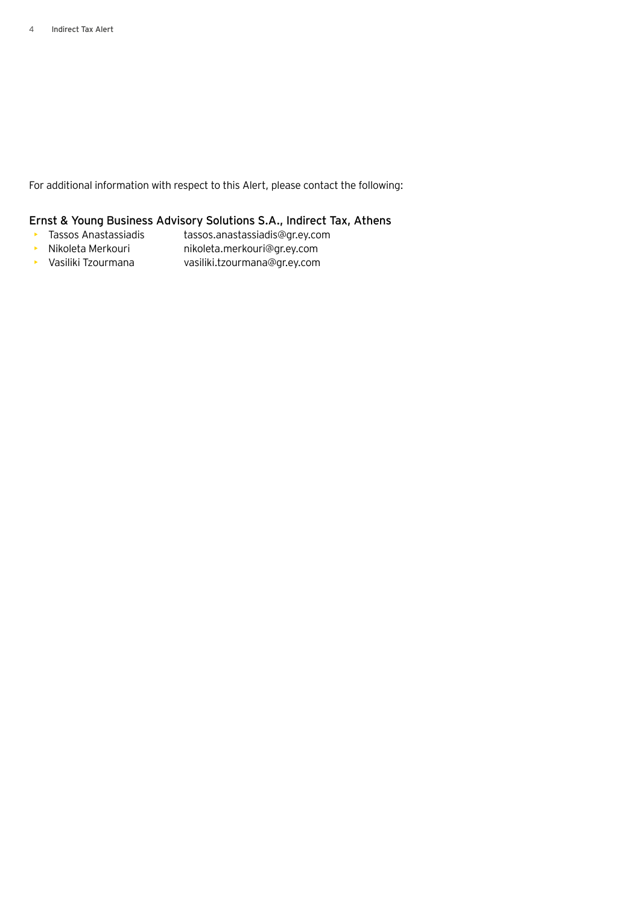For additional information with respect to this Alert, please contact the following:

#### Ernst & Young Business Advisory Solutions S.A., Indirect Tax, Athens

- Tassos Anastassiadis tassos.anastassiadis@gr.ey.com
- Nikoleta Merkouri nikoleta.merkouri@gr.ey.com
- Vasiliki Tzourmana vasiliki.tzourmana@gr.ey.com